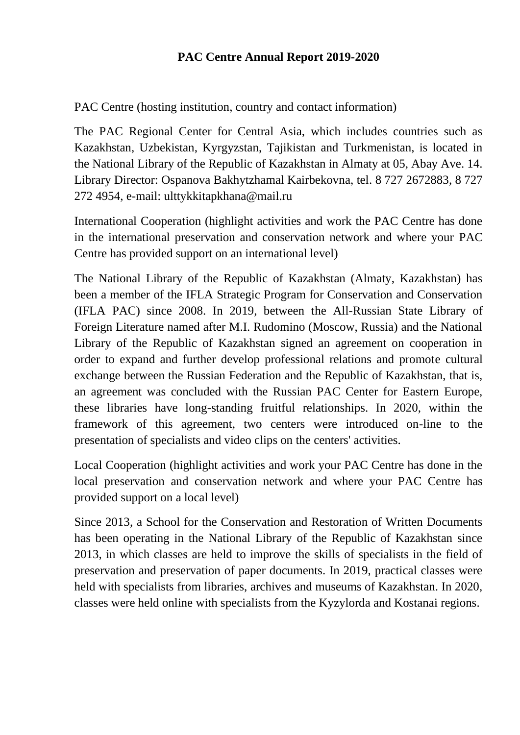## **PAC Centre Annual Report 2019-2020**

PAC Centre (hosting institution, country and contact information)

The PAC Regional Center for Central Asia, which includes countries such as Kazakhstan, Uzbekistan, Kyrgyzstan, Tajikistan and Turkmenistan, is located in the National Library of the Republic of Kazakhstan in Almaty at 05, Abay Ave. 14. Library Director: Ospanova Bakhytzhamal Kairbekovna, tel. 8 727 2672883, 8 727 272 4954, e-mail: ulttykkitapkhana@mail.ru

International Cooperation (highlight activities and work the PAC Centre has done in the international preservation and conservation network and where your PAC Centre has provided support on an international level)

The National Library of the Republic of Kazakhstan (Almaty, Kazakhstan) has been a member of the IFLA Strategic Program for Conservation and Conservation (IFLA PAC) since 2008. In 2019, between the All-Russian State Library of Foreign Literature named after M.I. Rudomino (Moscow, Russia) and the National Library of the Republic of Kazakhstan signed an agreement on cooperation in order to expand and further develop professional relations and promote cultural exchange between the Russian Federation and the Republic of Kazakhstan, that is, an agreement was concluded with the Russian PAC Center for Eastern Europe, these libraries have long-standing fruitful relationships. In 2020, within the framework of this agreement, two centers were introduced on-line to the presentation of specialists and video clips on the centers' activities.

Local Cooperation (highlight activities and work your PAC Centre has done in the local preservation and conservation network and where your PAC Centre has provided support on a local level)

Since 2013, a School for the Conservation and Restoration of Written Documents has been operating in the National Library of the Republic of Kazakhstan since 2013, in which classes are held to improve the skills of specialists in the field of preservation and preservation of paper documents. In 2019, practical classes were held with specialists from libraries, archives and museums of Kazakhstan. In 2020, classes were held online with specialists from the Kyzylorda and Kostanai regions.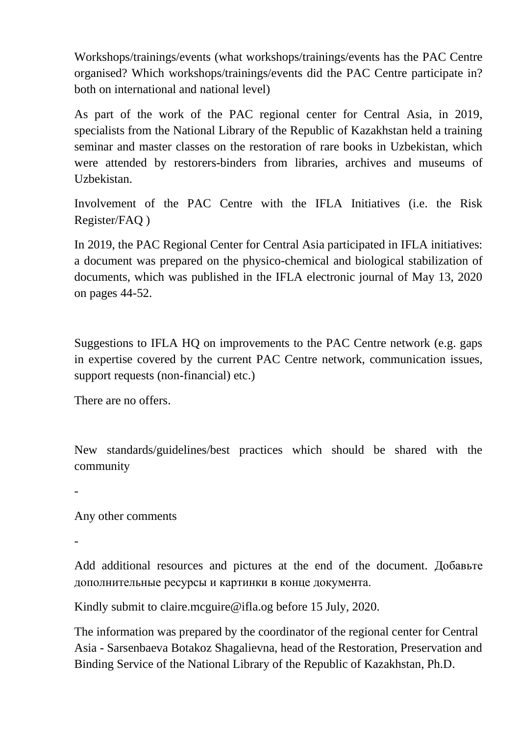Workshops/trainings/events (what workshops/trainings/events has the PAC Centre organised? Which workshops/trainings/events did the PAC Centre participate in? both on international and national level)

As part of the work of the PAC regional center for Central Asia, in 2019, specialists from the National Library of the Republic of Kazakhstan held a training seminar and master classes on the restoration of rare books in Uzbekistan, which were attended by restorers-binders from libraries, archives and museums of Uzbekistan.

Involvement of the PAC Centre with the IFLA Initiatives (i.e. the Risk Register/FAQ )

In 2019, the PAC Regional Center for Central Asia participated in IFLA initiatives: a document was prepared on the physico-chemical and biological stabilization of documents, which was published in the IFLA electronic journal of May 13, 2020 on pages 44-52.

Suggestions to IFLA HQ on improvements to the PAC Centre network (e.g. gaps in expertise covered by the current PAC Centre network, communication issues, support requests (non-financial) etc.)

There are no offers.

New standards/guidelines/best practices which should be shared with the community

-

Any other comments

-

Add additional resources and pictures at the end of the document. Добавьте дополнительные ресурсы и картинки в конце документа.

Kindly submit to claire.mcguire@ifla.og before 15 July, 2020.

The information was prepared by the coordinator of the regional center for Central Asia - Sarsenbaeva Botakoz Shagalievna, head of the Restoration, Preservation and Binding Service of the National Library of the Republic of Kazakhstan, Ph.D.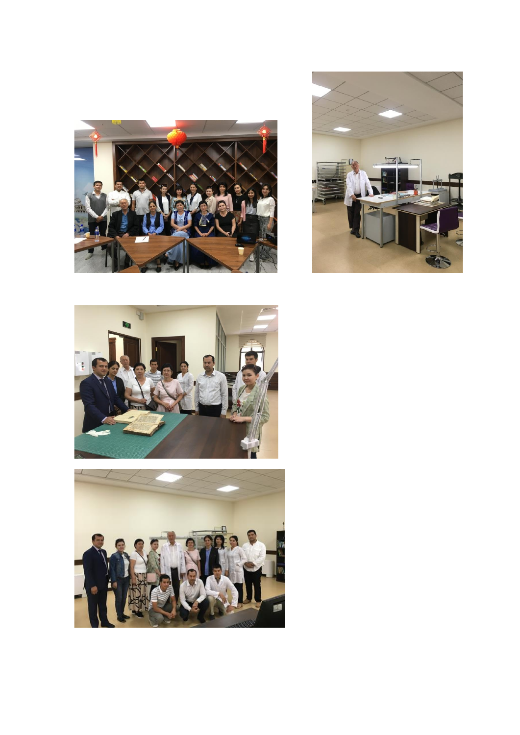